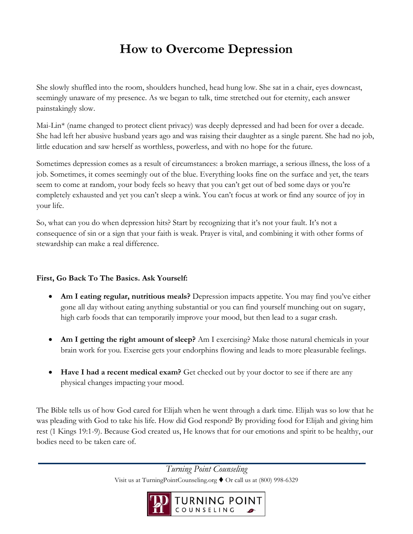# **How to Overcome Depression**

She slowly shuffled into the room, shoulders hunched, head hung low. She sat in a chair, eyes downcast, seemingly unaware of my presence. As we began to talk, time stretched out for eternity, each answer painstakingly slow.

Mai-Lin\* (name changed to protect client privacy) was deeply depressed and had been for over a decade. She had left her abusive husband years ago and was raising their daughter as a single parent. She had no job, little education and saw herself as worthless, powerless, and with no hope for the future.

Sometimes depression comes as a result of circumstances: a broken marriage, a serious illness, the loss of a job. Sometimes, it comes seemingly out of the blue. Everything looks fine on the surface and yet, the tears seem to come at random, your body feels so heavy that you can't get out of bed some days or you're completely exhausted and yet you can't sleep a wink. You can't focus at work or find any source of joy in your life.

So, what can you do when depression hits? Start by recognizing that it's not your fault. It's not a consequence of sin or a sign that your faith is weak. Prayer is vital, and combining it with other forms of stewardship can make a real difference.

## **First, Go Back To The Basics. Ask Yourself:**

- **Am I eating regular, nutritious meals?** Depression impacts appetite. You may find you've either gone all day without eating anything substantial or you can find yourself munching out on sugary, high carb foods that can temporarily improve your mood, but then lead to a sugar crash.
- **Am I getting the right amount of sleep?** Am I exercising? Make those natural chemicals in your brain work for you. Exercise gets your endorphins flowing and leads to more pleasurable feelings.
- **Have I had a recent medical exam?** Get checked out by your doctor to see if there are any physical changes impacting your mood.

The Bible tells us of how God cared for Elijah when he went through a dark time. Elijah was so low that he was pleading with God to take his life. How did God respond? By providing food for Elijah and giving him rest (1 Kings 19:1-9). Because God created us, He knows that for our emotions and spirit to be healthy, our bodies need to be taken care of.

> *Turning Point Counseling*  Visit us at TurningPointCounseling.org ♦ Or call us at (800) 998-6329

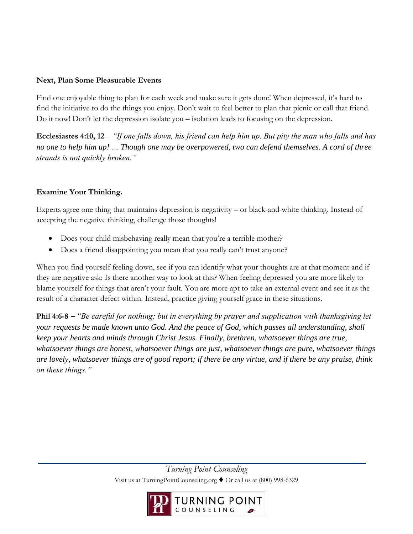#### **Next, Plan Some Pleasurable Events**

Find one enjoyable thing to plan for each week and make sure it gets done! When depressed, it's hard to find the initiative to do the things you enjoy. Don't wait to feel better to plan that picnic or call that friend. Do it now! Don't let the depression isolate you – isolation leads to focusing on the depression.

**Ecclesiastes 4:10, 12** – *"If one falls down, his friend can help him up. But pity the man who falls and has no one to help him up! … Though one may be overpowered, two can defend themselves. A cord of three strands is not quickly broken."* 

### **Examine Your Thinking.**

Experts agree one thing that maintains depression is negativity – or black-and-white thinking. Instead of accepting the negative thinking, challenge those thoughts!

- Does your child misbehaving really mean that you're a terrible mother?
- Does a friend disappointing you mean that you really can't trust anyone?

When you find yourself feeling down, see if you can identify what your thoughts are at that moment and if they are negative ask: Is there another way to look at this? When feeling depressed you are more likely to blame yourself for things that aren't your fault. You are more apt to take an external event and see it as the result of a character defect within. Instead, practice giving yourself grace in these situations.

**Phil 4:6-8 –** *"Be careful for nothing; but in everything by prayer and supplication with thanksgiving let your requests be made known unto God. And the peace of God, which passes all understanding, shall keep your hearts and minds through Christ Jesus. Finally, brethren, whatsoever things are true, whatsoever things are honest, whatsoever things are just, whatsoever things are pure, whatsoever things are lovely, whatsoever things are of good report; if there be any virtue, and if there be any praise, think on these things."* 

> *Turning Point Counseling*  Visit us at TurningPointCounseling.org ♦ Or call us at (800) 998-6329